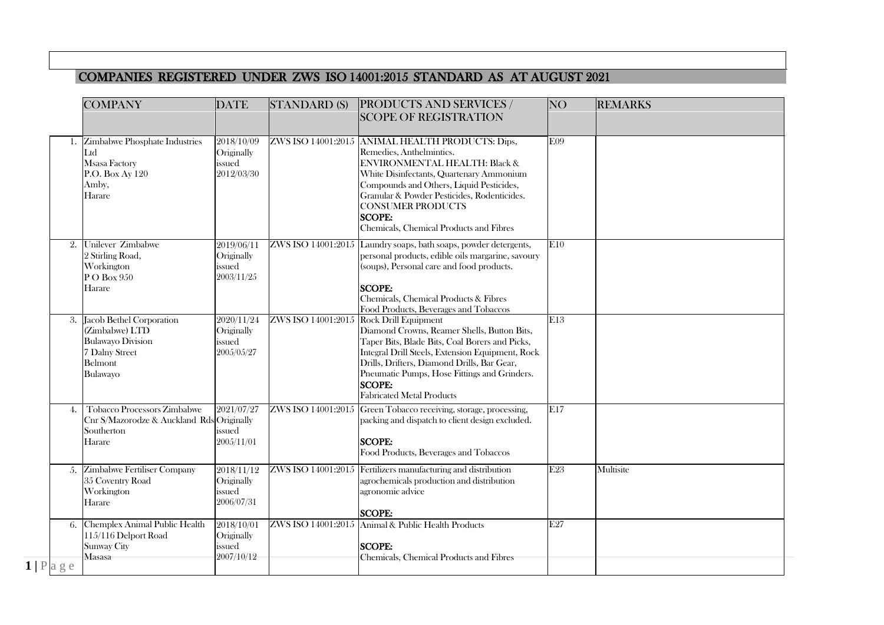## COMPANIES REGISTERED UNDER ZWS ISO 14001:2015 STANDARD AS AT AUGUST 2021

|                      | <b>COMPANY</b>                                                                                                     | <b>DATE</b>                                               | <b>STANDARD (S)</b> | <b>PRODUCTS AND SERVICES /</b><br><b>SCOPE OF REGISTRATION</b>                                                                                                                                                                                                                                                                       | <b>NO</b> | <b>REMARKS</b> |
|----------------------|--------------------------------------------------------------------------------------------------------------------|-----------------------------------------------------------|---------------------|--------------------------------------------------------------------------------------------------------------------------------------------------------------------------------------------------------------------------------------------------------------------------------------------------------------------------------------|-----------|----------------|
| 1.                   | Zimbabwe Phosphate Industries<br>Ltd<br><b>Msasa Factory</b><br>P.O. Box Ay 120<br>Amby,<br>Harare                 | 2018/10/09<br>Originally<br>issued<br>2012/03/30          | ZWS ISO 14001:2015  | ANIMAL HEALTH PRODUCTS: Dips,<br>Remedies, Anthelmintics.<br>ENVIRONMENTAL HEALTH: Black &<br>White Disinfectants, Quartenary Ammonium<br>Compounds and Others, Liquid Pesticides,<br>Granular & Powder Pesticides, Rodenticides.<br><b>CONSUMER PRODUCTS</b><br><b>SCOPE:</b><br>Chemicals, Chemical Products and Fibres            | E09       |                |
| 2.                   | Unilever Zimbabwe<br>2 Stirling Road,<br>Workington<br>P O Box 950<br>Harare                                       | 2019/06/11<br>Originally<br>issued<br>2003/11/25          | ZWS ISO 14001:2015  | Laundry soaps, bath soaps, powder detergents,<br>personal products, edible oils margarine, savoury<br>(soups), Personal care and food products.<br><b>SCOPE:</b><br>Chemicals, Chemical Products & Fibres<br>Food Products, Beverages and Tobaccos                                                                                   | E10       |                |
|                      | 3. Jacob Bethel Corporation<br>(Zimbabwe) LTD<br><b>Bulawayo Division</b><br>7 Dalny Street<br>Belmont<br>Bulawayo | 2020/11/24<br>Originally<br>issued<br>2005/05/27          | ZWS ISO 14001:2015  | <b>Rock Drill Equipment</b><br>Diamond Crowns, Reamer Shells, Button Bits,<br>Taper Bits, Blade Bits, Coal Borers and Picks,<br>Integral Drill Steels, Extension Equipment, Rock<br>Drills, Drifters, Diamond Drills, Bar Gear,<br>Pneumatic Pumps, Hose Fittings and Grinders.<br><b>SCOPE:</b><br><b>Fabricated Metal Products</b> | E13       |                |
| 4.                   | <b>Tobacco Processors Zimbabwe</b><br>Cnr S/Mazorodze & Auckland Rds Originally<br>Southerton<br>Harare            | 2021/07/27<br>issued<br>2005/11/01                        | ZWS ISO 14001:2015  | Green Tobacco receiving, storage, processing,<br>packing and dispatch to client design excluded.<br><b>SCOPE:</b><br>Food Products, Beverages and Tobaccos                                                                                                                                                                           | E17       |                |
|                      | 5. Zimbabwe Fertiliser Company<br>35 Coventry Road<br>Workington<br>Harare                                         | $\sqrt{2018/11/12}$<br>Originally<br>issued<br>2006/07/31 | ZWS ISO 14001:2015  | Fertilizers manufacturing and distribution<br>agrochemicals production and distribution<br>agronomic advice<br><b>SCOPE:</b>                                                                                                                                                                                                         | E23       | Multisite      |
| 6.<br>$1   P $ a g e | Chemplex Animal Public Health<br>115/116 Delport Road<br>Sunway City<br>Masasa                                     | 2018/10/01<br>Originally<br>issued<br>2007/10/12          | ZWS ISO 14001:2015  | Animal & Public Health Products<br><b>SCOPE:</b><br>Chemicals, Chemical Products and Fibres                                                                                                                                                                                                                                          | E27       |                |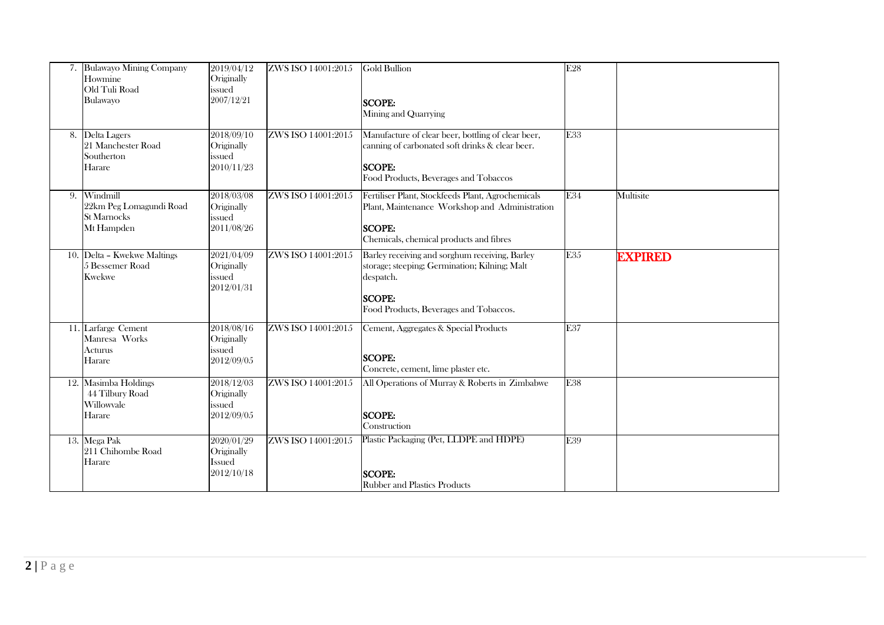|    | <b>Bulawayo Mining Company</b><br>Howmine<br>Old Tuli Road<br>Bulawayo | 2019/04/12<br>Originally<br>issued<br>2007/12/21        | ZWS ISO 14001:2015 | <b>Gold Bullion</b><br><b>SCOPE:</b><br>Mining and Quarrying                                                                                                            | E28 |                |
|----|------------------------------------------------------------------------|---------------------------------------------------------|--------------------|-------------------------------------------------------------------------------------------------------------------------------------------------------------------------|-----|----------------|
| 8. | Delta Lagers<br>21 Manchester Road<br>Southerton<br>Harare             | 2018/09/10<br>Originally<br>issued<br>2010/11/23        | ZWS ISO 14001:2015 | Manufacture of clear beer, bottling of clear beer,<br>canning of carbonated soft drinks & clear beer.<br><b>SCOPE:</b><br>Food Products, Beverages and Tobaccos         | E33 |                |
| 9. | Windmill<br>22km Peg Lomagundi Road<br>St Marnocks<br>Mt Hampden       | 2018/03/08<br>Originally<br>issued<br>2011/08/26        | ZWS ISO 14001:2015 | Fertiliser Plant, Stockfeeds Plant, Agrochemicals<br>Plant, Maintenance Workshop and Administration<br><b>SCOPE:</b><br>Chemicals, chemical products and fibres         | E34 | Multisite      |
|    | 10. Delta - Kwekwe Maltings<br>5 Bessemer Road<br><b>Kwekwe</b>        | 2021/04/09<br>Originally<br>issued<br>2012/01/31        | ZWS ISO 14001:2015 | Barley receiving and sorghum receiving, Barley<br>storage; steeping; Germination; Kilning; Malt<br>despatch.<br><b>SCOPE:</b><br>Food Products, Beverages and Tobaccos. | E35 | <b>EXPIRED</b> |
|    | 11. Larfarge Cement<br>Manresa Works<br>Acturus<br>Harare              | 2018/08/16<br>Originally<br>issued<br>2012/09/05        | ZWS ISO 14001:2015 | Cement, Aggregates & Special Products<br><b>SCOPE:</b><br>Concrete, cement, lime plaster etc.                                                                           | E37 |                |
|    | 12. Masimba Holdings<br>44 Tilbury Road<br>Willowyale<br>Harare        | 2018/12/03<br>Originally<br>issued<br>2012/09/05        | ZWS ISO 14001:2015 | All Operations of Murray & Roberts in Zimbabwe<br><b>SCOPE:</b><br>Construction                                                                                         | E38 |                |
|    | 13. Mega Pak<br>211 Chihombe Road<br>Harare                            | 2020/01/29<br>Originally<br><b>Issued</b><br>2012/10/18 | ZWS ISO 14001:2015 | Plastic Packaging (Pet, LLDPE and HDPE)<br><b>SCOPE:</b><br><b>Rubber and Plastics Products</b>                                                                         | E39 |                |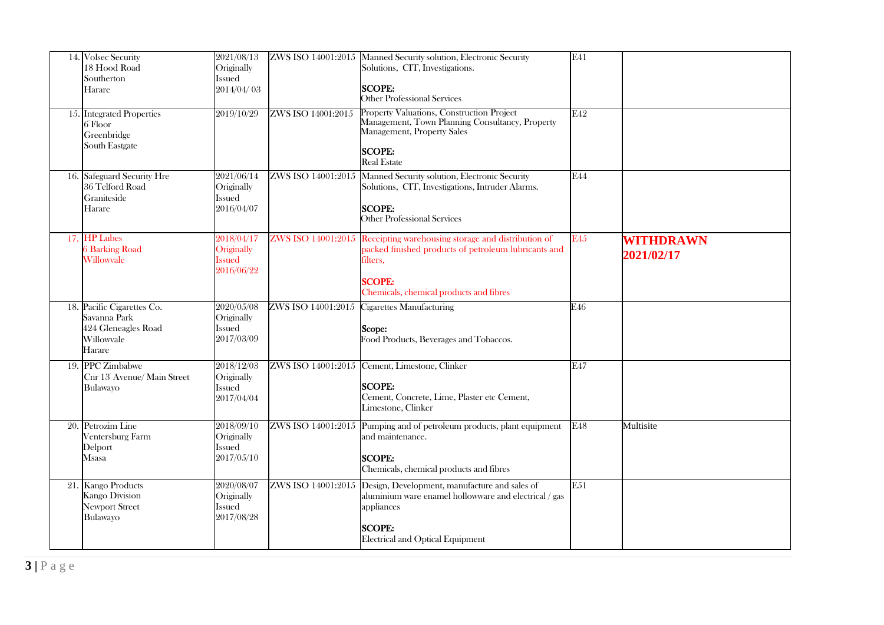| 14. Volsec Security<br>18 Hood Road<br>Southerton<br>Harare                               | 2021/08/13<br>Originally<br>Issued<br>2014/04/03        |                    | ZWS ISO 14001:2015 Manned Security solution, Electronic Security<br>Solutions, CIT, Investigations.<br><b>SCOPE:</b><br><b>Other Professional Services</b>                                            | E41        |                                |
|-------------------------------------------------------------------------------------------|---------------------------------------------------------|--------------------|-------------------------------------------------------------------------------------------------------------------------------------------------------------------------------------------------------|------------|--------------------------------|
| 15. Integrated Properties<br>6 Floor<br>Greenbridge<br>South Eastgate                     | 2019/10/29                                              | ZWS ISO 14001:2015 | Property Valuations, Construction Project<br>Management, Town Planning Consultancy, Property<br>Management, Property Sales<br><b>SCOPE:</b><br><b>Real Estate</b>                                     | E42        |                                |
| 16. Safeguard Security Hre<br>36 Telford Road<br>Graniteside<br>Harare                    | 2021/06/14<br>Originally<br><b>Issued</b><br>2016/04/07 |                    | ZWS ISO 14001:2015 Manned Security solution, Electronic Security<br>Solutions, CIT, Investigations, Intruder Alarms.<br><b>SCOPE:</b><br>Other Professional Services                                  | <b>F44</b> |                                |
| 17. HP Lubes<br><b>6 Barking Road</b><br>Willowyale                                       | 2018/04/17<br>Originally<br><b>Issued</b><br>2016/06/22 |                    | ZWS ISO 14001:2015 Receipting warehousing storage and distribution of<br>packed finished products of petroleum lubricants and<br>filters.<br><b>SCOPE:</b><br>Chemicals, chemical products and fibres | E45        | <b>WITHDRAWN</b><br>2021/02/17 |
| 18. Pacific Cigarettes Co.<br>Savanna Park<br>424 Gleneagles Road<br>Willowyale<br>Harare | 2020/05/08<br>Originally<br><b>Issued</b><br>2017/03/09 |                    | ZWS ISO 14001:2015 Cigarettes Manufacturing<br>Scope:<br>Food Products, Beverages and Tobaccos.                                                                                                       | E46        |                                |
| 19. PPC Zimbabwe<br>Cnr 13 Avenue/ Main Street<br>Bulawayo                                | 2018/12/03<br>Originally<br><b>Issued</b><br>2017/04/04 |                    | ZWS ISO 14001:2015 Cement, Limestone, Clinker<br><b>SCOPE:</b><br>Cement, Concrete, Lime, Plaster etc Cement,<br>Limestone, Clinker                                                                   | E47        |                                |
| 20. Petrozim Line<br>Ventersburg Farm<br>Delport<br>Msasa                                 | 2018/09/10<br>Originally<br><b>Issued</b><br>2017/05/10 |                    | ZWS ISO 14001:2015 Pumping and of petroleum products, plant equipment<br>and maintenance.<br><b>SCOPE:</b><br>Chemicals, chemical products and fibres                                                 | E48        | Multisite                      |
| 21. Kango Products<br>Kango Division<br><b>Newport Street</b><br>Bulawayo                 | 2020/08/07<br>Originally<br>Issued<br>2017/08/28        |                    | ZWS ISO 14001:2015 Design, Development, manufacture and sales of<br>aluminium ware enamel hollowware and electrical / gas<br>appliances<br><b>SCOPE:</b><br><b>Electrical and Optical Equipment</b>   | E51        |                                |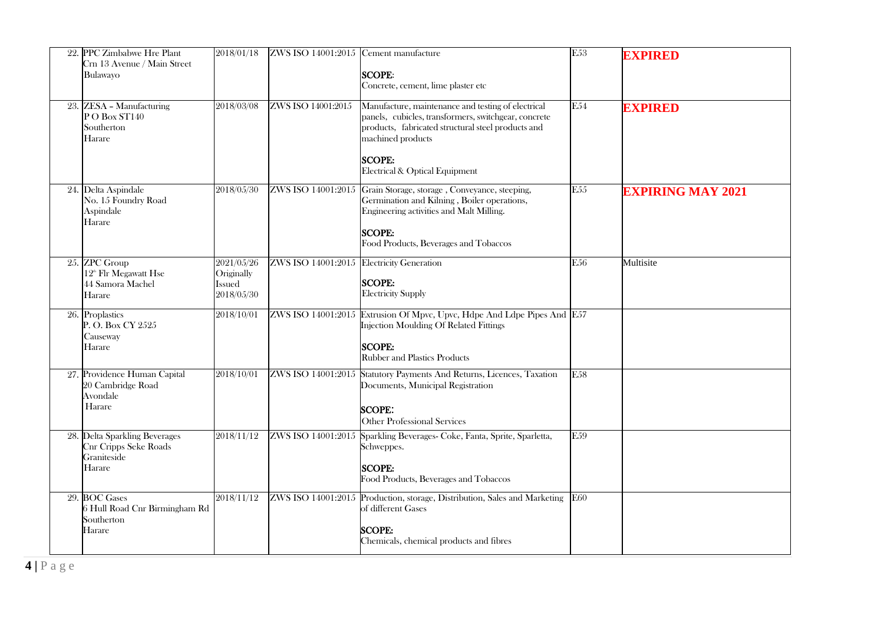| 22. PPC Zimbabwe Hre Plant<br>Crn 13 Avenue / Main Street<br>Bulawayo            | 2018/01/18                                              | ZWS ISO 14001:2015 Cement manufacture     | <b>SCOPE:</b><br>Concrete, cement, lime plaster etc                                                                                                                                                                                      | $\overline{E53}$ | <b>EXPIRED</b>           |
|----------------------------------------------------------------------------------|---------------------------------------------------------|-------------------------------------------|------------------------------------------------------------------------------------------------------------------------------------------------------------------------------------------------------------------------------------------|------------------|--------------------------|
| 23. ZESA - Manufacturing<br>PO Box ST140<br>Southerton<br>Harare                 | 2018/03/08                                              | ZWS ISO 14001:2015                        | Manufacture, maintenance and testing of electrical<br>panels, cubicles, transformers, switchgear, concrete<br>products, fabricated structural steel products and<br>machined products<br><b>SCOPE:</b><br>Electrical & Optical Equipment | E54              | <b>EXPIRED</b>           |
| 24. Delta Aspindale<br>No. 15 Foundry Road<br>Aspindale<br>Harare                | 2018/05/30                                              |                                           | ZWS ISO 14001:2015 Grain Storage, storage, Conveyance, steeping,<br>Germination and Kilning, Boiler operations,<br>Engineering activities and Malt Milling.<br><b>SCOPE:</b><br>Food Products, Beverages and Tobaccos                    | E <sub>55</sub>  | <b>EXPIRING MAY 2021</b> |
| 25. ZPC Group<br>12 <sup>th</sup> Flr Megawatt Hse<br>44 Samora Machel<br>Harare | 2021/05/26<br>Originally<br><b>Issued</b><br>2018/05/30 | ZWS ISO 14001:2015 Electricity Generation | <b>SCOPE:</b><br><b>Electricity Supply</b>                                                                                                                                                                                               | E56              | Multisite                |
| 26. Proplastics<br>P.O. Box CY 2525<br>Causeway<br>Harare                        | 2018/10/01                                              |                                           | ZWS ISO 14001:2015 Extrusion Of Mpvc, Upvc, Hdpe And Ldpe Pipes And E57<br>Injection Moulding Of Related Fittings<br><b>SCOPE:</b><br><b>Rubber and Plastics Products</b>                                                                |                  |                          |
| 27. Providence Human Capital<br>20 Cambridge Road<br>Avondale<br>Harare          | 2018/10/01                                              |                                           | ZWS ISO 14001:2015 Statutory Payments And Returns, Licences, Taxation<br>Documents, Municipal Registration<br><b>SCOPE:</b><br><b>Other Professional Services</b>                                                                        | E <sub>58</sub>  |                          |
| 28. Delta Sparkling Beverages<br>Cnr Cripps Seke Roads<br>Graniteside<br>Harare  | 2018/11/12                                              |                                           | ZWS ISO 14001:2015 Sparkling Beverages- Coke, Fanta, Sprite, Sparletta,<br>Schweppes.<br><b>SCOPE:</b><br>Food Products, Beverages and Tobaccos                                                                                          | E <sub>59</sub>  |                          |
| 29. BOC Gases<br>6 Hull Road Cnr Birmingham Rd<br>Southerton<br>Harare           | 2018/11/12                                              |                                           | ZWS ISO 14001:2015 Production, storage, Distribution, Sales and Marketing<br>of different Gases<br><b>SCOPE:</b><br>Chemicals, chemical products and fibres                                                                              | E60              |                          |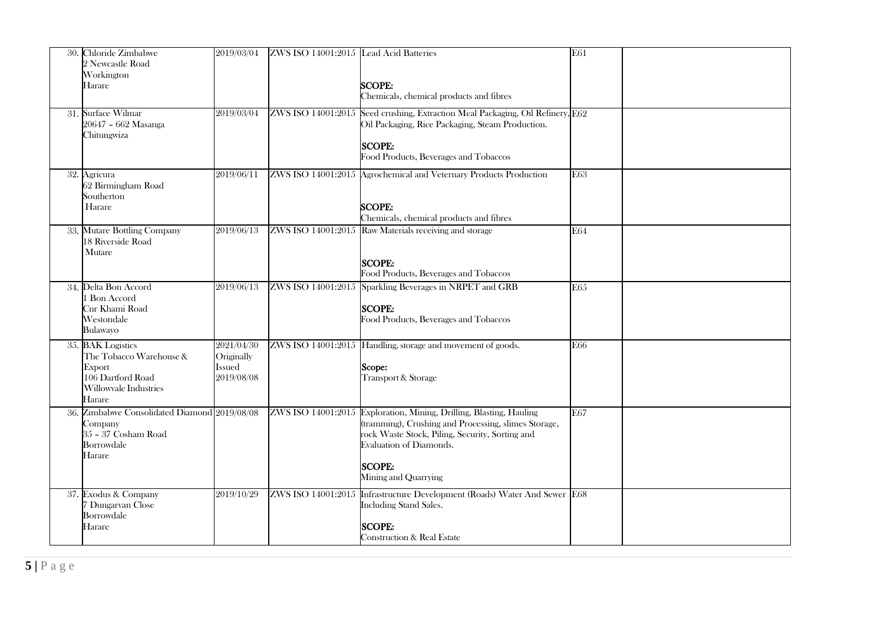| 30. Chloride Zimbabwe<br>2 Newcastle Road<br>Workington<br>Harare                                              | 2019/03/04                                       | ZWS ISO 14001:2015 Lead Acid Batteries | <b>SCOPE:</b><br>Chemicals, chemical products and fibres                                                                                                                                                                                           | E61 |
|----------------------------------------------------------------------------------------------------------------|--------------------------------------------------|----------------------------------------|----------------------------------------------------------------------------------------------------------------------------------------------------------------------------------------------------------------------------------------------------|-----|
| 31. Surface Wilmar<br>20647 - 662 Masanga<br>Chitungwiza                                                       | 2019/03/04                                       |                                        | ZWS ISO 14001:2015 Seed crushing, Extraction Meal Packaging, Oil Refinery, E62<br>Oil Packaging, Rice Packaging, Steam Production.<br><b>SCOPE:</b><br>Food Products, Beverages and Tobaccos                                                       |     |
| 32. Agricura<br>62 Birmingham Road<br>Southerton<br>Harare                                                     | 2019/06/11                                       |                                        | ZWS ISO 14001:2015 Agrochemical and Veternary Products Production<br><b>SCOPE:</b><br>Chemicals, chemical products and fibres                                                                                                                      | E63 |
| 33. Mutare Bottling Company<br>18 Riverside Road<br>Mutare                                                     | 2019/06/13                                       |                                        | ZWS ISO 14001:2015 Raw Materials receiving and storage<br><b>SCOPE:</b><br>Food Products, Beverages and Tobaccos                                                                                                                                   | E64 |
| 34. Delta Bon Accord<br>1 Bon Accord<br>Cnr Khami Road<br>Westondale<br>Bulawayo                               | 2019/06/13                                       |                                        | ZWS ISO 14001:2015 Sparkling Beverages in NRPET and GRB<br><b>SCOPE:</b><br>Food Products, Beverages and Tobaccos                                                                                                                                  | E65 |
| 35. BAK Logistics<br>The Tobacco Warehouse &<br>Export<br>106 Dartford Road<br>Willowyale Industries<br>Harare | 2021/04/30<br>Originally<br>Issued<br>2019/08/08 |                                        | ZWS ISO 14001:2015 Handling, storage and movement of goods.<br>Scope:<br>Transport & Storage                                                                                                                                                       | E66 |
| 36. Zimbabwe Consolidated Diamond 2019/08/08<br>Company<br>35 - 37 Cosham Road<br>Borrowdale<br>Harare         |                                                  |                                        | ZWS ISO 14001:2015 Exploration, Mining, Drilling, Blasting, Hauling<br>(tramming), Crushing and Processing, slimes Storage,<br>rock Waste Stock, Piling, Security, Sorting and<br>Evaluation of Diamonds.<br><b>SCOPE:</b><br>Mining and Quarrying | E67 |
| 37. Exodus & Company<br>7 Dungarvan Close<br>Borrowdale<br>Harare                                              | 2019/10/29                                       |                                        | ZWS ISO 14001:2015 Infrastructure Development (Roads) Water And Sewer E68<br>Including Stand Sales.<br><b>SCOPE:</b><br><b>Construction &amp; Real Estate</b>                                                                                      |     |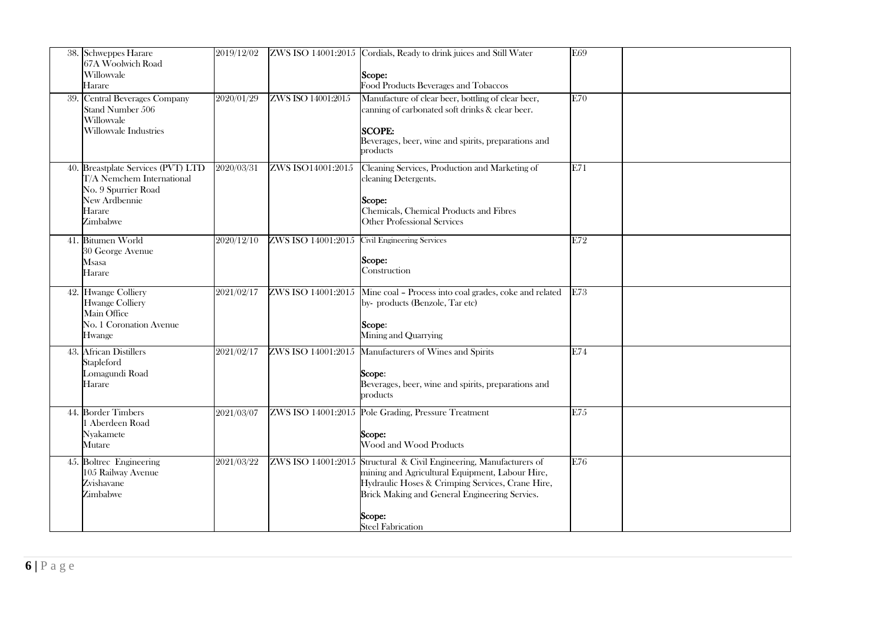|     | 38. Schweppes Harare<br>67A Woolwich Road<br>Willowvale<br>Harare                                                             | 2019/12/02 |                    | ZWS ISO 14001:2015 Cordials, Ready to drink juices and Still Water<br>Scope:<br>Food Products Beverages and Tobaccos                                                                                                                                              | E69 |
|-----|-------------------------------------------------------------------------------------------------------------------------------|------------|--------------------|-------------------------------------------------------------------------------------------------------------------------------------------------------------------------------------------------------------------------------------------------------------------|-----|
| 39. | Central Beverages Company<br>Stand Number 506<br>Willowvale<br>Willowvale Industries                                          | 2020/01/29 | ZWS ISO 14001:2015 | Manufacture of clear beer, bottling of clear beer,<br>canning of carbonated soft drinks & clear beer.<br><b>SCOPE:</b><br>Beverages, beer, wine and spirits, preparations and<br>products                                                                         | E70 |
|     | 40. Breastplate Services (PVT) LTD<br>T/A Nemchem International<br>No. 9 Spurrier Road<br>New Ardbennie<br>Harare<br>Zimbabwe | 2020/03/31 | ZWS ISO14001:2015  | Cleaning Services, Production and Marketing of<br>cleaning Detergents.<br>Scope:<br>Chemicals, Chemical Products and Fibres<br><b>Other Professional Services</b>                                                                                                 | E71 |
|     | 41. Bitumen World<br>30 George Avenue<br>Msasa<br>Harare                                                                      | 2020/12/10 |                    | ZWS ISO 14001:2015 Civil Engineering Services<br>Scope:<br>Construction                                                                                                                                                                                           | E72 |
|     | 42. Hwange Colliery<br><b>Hwange Colliery</b><br>Main Office<br>No. 1 Coronation Avenue<br>Hwange                             | 2021/02/17 |                    | ZWS ISO 14001:2015 Mine coal - Process into coal grades, coke and related<br>by-products (Benzole, Tar etc)<br>Scope:<br>Mining and Quarrying                                                                                                                     | E73 |
|     | 43. African Distillers<br>Stapleford<br>Lomagundi Road<br>Harare                                                              | 2021/02/17 |                    | ZWS ISO 14001:2015 Manufacturers of Wines and Spirits<br>Scope:<br>Beverages, beer, wine and spirits, preparations and<br>products                                                                                                                                | E74 |
|     | 44. Border Timbers<br>1 Aberdeen Road<br>Nyakamete<br>Mutare                                                                  | 2021/03/07 |                    | ZWS ISO 14001:2015 Pole Grading, Pressure Treatment<br>Scope:<br>Wood and Wood Products                                                                                                                                                                           | E75 |
|     | 45. Boltrec Engineering<br>105 Railway Avenue<br>Zvishavane<br>Zimbabwe                                                       | 2021/03/22 |                    | ZWS ISO 14001:2015 Structural & Civil Engineering, Manufacturers of<br>mining and Agricultural Equipment, Labour Hire,<br>Hydraulic Hoses & Crimping Services, Crane Hire,<br>Brick Making and General Engineering Servies.<br>Scope:<br><b>Steel Fabrication</b> | E76 |